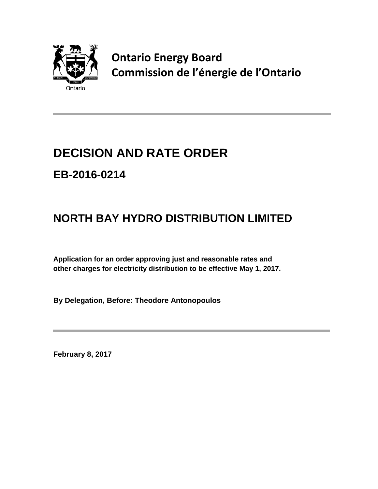

**Ontario Energy Board Commission de l'énergie de l'Ontario**

# **DECISION AND RATE ORDER EB-2016-0214**

# **NORTH BAY HYDRO DISTRIBUTION LIMITED**

**Application for an order approving just and reasonable rates and other charges for electricity distribution to be effective May 1, 2017.**

**By Delegation, Before: Theodore Antonopoulos**

**February 8, 2017**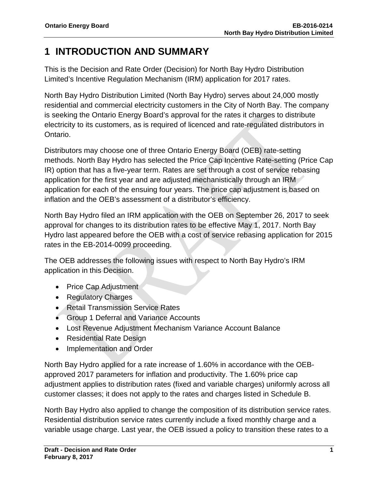## **1 INTRODUCTION AND SUMMARY**

This is the Decision and Rate Order (Decision) for North Bay Hydro Distribution Limited's Incentive Regulation Mechanism (IRM) application for 2017 rates.

North Bay Hydro Distribution Limited (North Bay Hydro) serves about 24,000 mostly residential and commercial electricity customers in the City of North Bay. The company is seeking the Ontario Energy Board's approval for the rates it charges to distribute electricity to its customers, as is required of licenced and rate-regulated distributors in Ontario.

Distributors may choose one of three Ontario Energy Board (OEB) rate-setting methods. North Bay Hydro has selected the Price Cap Incentive Rate-setting (Price Cap IR) option that has a five-year term. Rates are set through a cost of service rebasing application for the first year and are adjusted mechanistically through an IRM application for each of the ensuing four years. The price cap adjustment is based on inflation and the OEB's assessment of a distributor's efficiency.

North Bay Hydro filed an IRM application with the OEB on September 26, 2017 to seek approval for changes to its distribution rates to be effective May 1, 2017. North Bay Hydro last appeared before the OEB with a cost of service rebasing application for 2015 rates in the EB-2014-0099 proceeding.

The OEB addresses the following issues with respect to North Bay Hydro's IRM application in this Decision.

- Price Cap Adjustment
- Regulatory Charges
- Retail Transmission Service Rates
- Group 1 Deferral and Variance Accounts
- Lost Revenue Adjustment Mechanism Variance Account Balance
- Residential Rate Design
- Implementation and Order

North Bay Hydro applied for a rate increase of 1.60% in accordance with the OEBapproved 2017 parameters for inflation and productivity. The 1.60% price cap adjustment applies to distribution rates (fixed and variable charges) uniformly across all customer classes; it does not apply to the rates and charges listed in Schedule B.

North Bay Hydro also applied to change the composition of its distribution service rates. Residential distribution service rates currently include a fixed monthly charge and a variable usage charge. Last year, the OEB issued a policy to transition these rates to a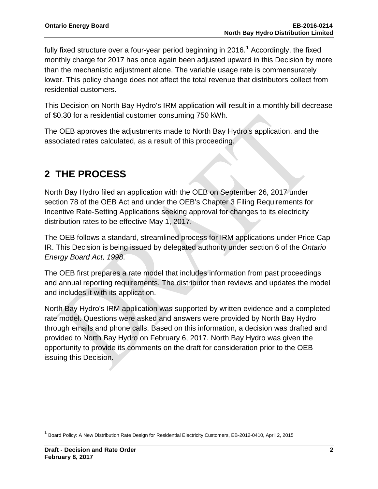fully fixed structure over a four-year period beginning in 20[1](#page-2-0)6.<sup>1</sup> Accordingly, the fixed monthly charge for 2017 has once again been adjusted upward in this Decision by more than the mechanistic adjustment alone. The variable usage rate is commensurately lower. This policy change does not affect the total revenue that distributors collect from residential customers.

This Decision on North Bay Hydro's IRM application will result in a monthly bill decrease of \$0.30 for a residential customer consuming 750 kWh.

The OEB approves the adjustments made to North Bay Hydro's application, and the associated rates calculated, as a result of this proceeding.

## **2 THE PROCESS**

North Bay Hydro filed an application with the OEB on September 26, 2017 under section 78 of the OEB Act and under the OEB's Chapter 3 Filing Requirements for Incentive Rate-Setting Applications seeking approval for changes to its electricity distribution rates to be effective May 1, 2017.

The OEB follows a standard, streamlined process for IRM applications under Price Cap IR. This Decision is being issued by delegated authority under section 6 of the *Ontario Energy Board Act, 1998*.

The OEB first prepares a rate model that includes information from past proceedings and annual reporting requirements. The distributor then reviews and updates the model and includes it with its application.

North Bay Hydro's IRM application was supported by written evidence and a completed rate model. Questions were asked and answers were provided by North Bay Hydro through emails and phone calls. Based on this information, a decision was drafted and provided to North Bay Hydro on February 6, 2017. North Bay Hydro was given the opportunity to provide its comments on the draft for consideration prior to the OEB issuing this Decision.

<span id="page-2-0"></span><sup>1</sup> Board Policy: A New Distribution Rate Design for Residential Electricity Customers, EB-2012-0410, April 2, 2015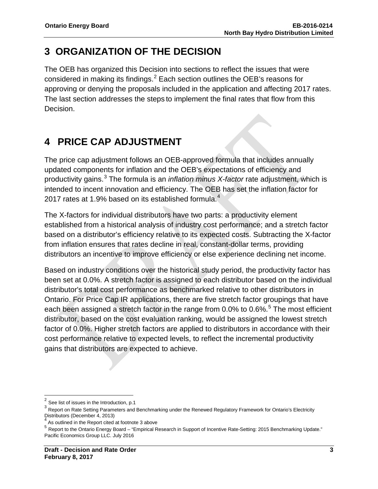## **3 ORGANIZATION OF THE DECISION**

The OEB has organized this Decision into sections to reflect the issues that were considered in making its findings. $^2$  $^2$  Each section outlines the OEB's reasons for approving or denying the proposals included in the application and affecting 2017 rates. The last section addresses the steps to implement the final rates that flow from this Decision.

## **4 PRICE CAP ADJUSTMENT**

The price cap adjustment follows an OEB-approved formula that includes annually updated components for inflation and the OEB's expectations of efficiency and productivity gains. [3](#page-3-1) The formula is an *inflation minus X-factor* rate adjustment, which is intended to incent innovation and efficiency. The OEB has set the inflation factor for 2017 rates at 1.9% based on its established formula.<sup>[4](#page-3-2)</sup>

The X-factors for individual distributors have two parts: a productivity element established from a historical analysis of industry cost performance; and a stretch factor based on a distributor's efficiency relative to its expected costs. Subtracting the X-factor from inflation ensures that rates decline in real, constant-dollar terms, providing distributors an incentive to improve efficiency or else experience declining net income.

Based on industry conditions over the historical study period, the productivity factor has been set at 0.0%. A stretch factor is assigned to each distributor based on the individual distributor's total cost performance as benchmarked relative to other distributors in Ontario. For Price Cap IR applications, there are five stretch factor groupings that have each been assigned a stretch factor in the range from 0.0% to 0.6%.<sup>[5](#page-3-3)</sup> The most efficient distributor, based on the cost evaluation ranking, would be assigned the lowest stretch factor of 0.0%. Higher stretch factors are applied to distributors in accordance with their cost performance relative to expected levels, to reflect the incremental productivity gains that distributors are expected to achieve.

<span id="page-3-0"></span> $2$  See list of issues in the Introduction, p.1

<span id="page-3-1"></span> $3$  Report on Rate Setting Parameters and Benchmarking under the Renewed Regulatory Framework for Ontario's Electricity Distributors (December 4, 2013)

<span id="page-3-2"></span>As outlined in the Report cited at footnote 3 above

<span id="page-3-3"></span><sup>5</sup> Report to the Ontario Energy Board – "Empirical Research in Support of Incentive Rate-Setting: 2015 Benchmarking Update." Pacific Economics Group LLC. July 2016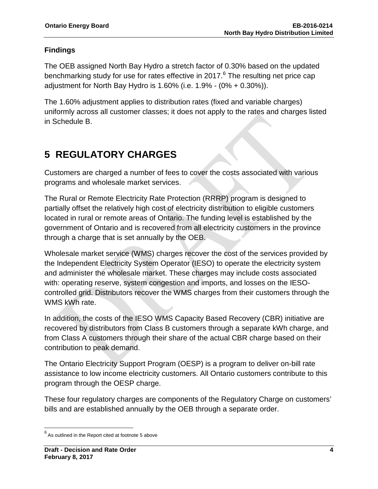### **Findings**

The OEB assigned North Bay Hydro a stretch factor of 0.30% based on the updated benchmarking study for use for rates effective in 2017.<sup>[6](#page-4-0)</sup> The resulting net price cap adjustment for North Bay Hydro is 1.60% (i.e. 1.9% - (0% + 0.30%)).

The 1.60% adjustment applies to distribution rates (fixed and variable charges) uniformly across all customer classes; it does not apply to the rates and charges listed in Schedule B.

## **5 REGULATORY CHARGES**

Customers are charged a number of fees to cover the costs associated with various programs and wholesale market services.

The Rural or Remote Electricity Rate Protection (RRRP) program is designed to partially offset the relatively high cost of electricity distribution to eligible customers located in rural or remote areas of Ontario. The funding level is established by the government of Ontario and is recovered from all electricity customers in the province through a charge that is set annually by the OEB.

Wholesale market service (WMS) charges recover the cost of the services provided by the Independent Electricity System Operator (IESO) to operate the electricity system and administer the wholesale market. These charges may include costs associated with: operating reserve, system congestion and imports, and losses on the IESOcontrolled grid. Distributors recover the WMS charges from their customers through the WMS kWh rate.

In addition, the costs of the IESO WMS Capacity Based Recovery (CBR) initiative are recovered by distributors from Class B customers through a separate kWh charge, and from Class A customers through their share of the actual CBR charge based on their contribution to peak demand.

The Ontario Electricity Support Program (OESP) is a program to deliver on-bill rate assistance to low income electricity customers. All Ontario customers contribute to this program through the OESP charge.

These four regulatory charges are components of the Regulatory Charge on customers' bills and are established annually by the OEB through a separate order.

<span id="page-4-0"></span> $6$  As outlined in the Report cited at footnote 5 above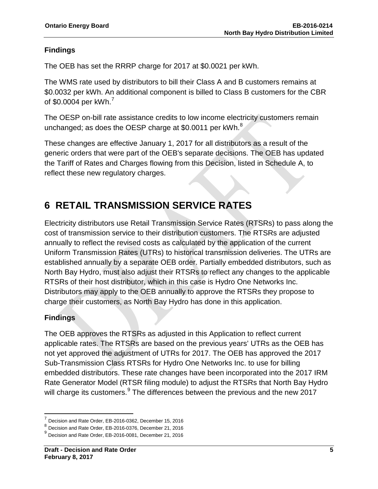### **Findings**

The OEB has set the RRRP charge for 2017 at \$0.0021 per kWh.

The WMS rate used by distributors to bill their Class A and B customers remains at \$0.0032 per kWh. An additional component is billed to Class B customers for the CBR of \$0.0004 per kWh. $^7$  $^7$ 

The OESP on-bill rate assistance credits to low income electricity customers remain unchanged; as does the OESP charge at \$0.0011 per kWh. $^8$  $^8$ 

These changes are effective January 1, 2017 for all distributors as a result of the generic orders that were part of the OEB's separate decisions. The OEB has updated the Tariff of Rates and Charges flowing from this Decision, listed in Schedule A, to reflect these new regulatory charges.

## **6 RETAIL TRANSMISSION SERVICE RATES**

Electricity distributors use Retail Transmission Service Rates (RTSRs) to pass along the cost of transmission service to their distribution customers. The RTSRs are adjusted annually to reflect the revised costs as calculated by the application of the current Uniform Transmission Rates (UTRs) to historical transmission deliveries. The UTRs are established annually by a separate OEB order. Partially embedded distributors, such as North Bay Hydro, must also adjust their RTSRs to reflect any changes to the applicable RTSRs of their host distributor, which in this case is Hydro One Networks Inc. Distributors may apply to the OEB annually to approve the RTSRs they propose to charge their customers, as North Bay Hydro has done in this application.

### **Findings**

The OEB approves the RTSRs as adjusted in this Application to reflect current applicable rates. The RTSRs are based on the previous years' UTRs as the OEB has not yet approved the adjustment of UTRs for 2017. The OEB has approved the 2017 Sub-Transmission Class RTSRs for Hydro One Networks Inc. to use for billing embedded distributors. These rate changes have been incorporated into the 2017 IRM Rate Generator Model (RTSR filing module) to adjust the RTSRs that North Bay Hydro will charge its customers. $^9$  $^9$  The differences between the previous and the new 2017

<sup>7</sup> Decision and Rate Order, EB-2016-0362, December 15, 2016

<span id="page-5-1"></span><span id="page-5-0"></span><sup>8</sup> Decision and Rate Order, EB-2016-0376, December 21, 2016

<span id="page-5-2"></span> $<sup>9</sup>$  Decision and Rate Order, EB-2016-0081, December 21, 2016</sup>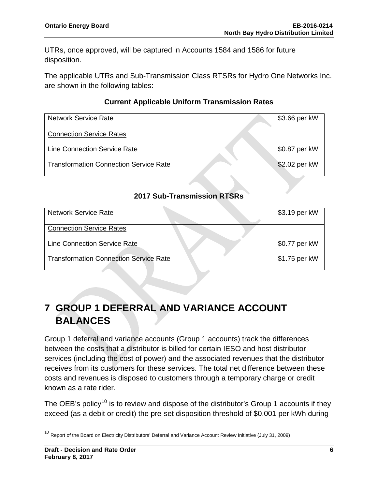UTRs, once approved, will be captured in Accounts 1584 and 1586 for future disposition.

The applicable UTRs and Sub-Transmission Class RTSRs for Hydro One Networks Inc. are shown in the following tables:

### **Current Applicable Uniform Transmission Rates**

| <b>Network Service Rate</b>                   | \$3.66 per kW |
|-----------------------------------------------|---------------|
| <b>Connection Service Rates</b>               |               |
| <b>Line Connection Service Rate</b>           | \$0.87 per kW |
| <b>Transformation Connection Service Rate</b> | \$2.02 per kW |

### **2017 Sub-Transmission RTSRs**

| <b>Network Service Rate</b>                   | \$3.19 per kW |
|-----------------------------------------------|---------------|
| <b>Connection Service Rates</b>               |               |
| Line Connection Service Rate                  | \$0.77 per kW |
| <b>Transformation Connection Service Rate</b> | \$1.75 per kW |

## **7 GROUP 1 DEFERRAL AND VARIANCE ACCOUNT BALANCES**

Group 1 deferral and variance accounts (Group 1 accounts) track the differences between the costs that a distributor is billed for certain IESO and host distributor services (including the cost of power) and the associated revenues that the distributor receives from its customers for these services. The total net difference between these costs and revenues is disposed to customers through a temporary charge or credit known as a rate rider.

The OEB's policy<sup>[10](#page-6-0)</sup> is to review and dispose of the distributor's Group 1 accounts if they exceed (as a debit or credit) the pre-set disposition threshold of \$0.001 per kWh during

<span id="page-6-0"></span><sup>&</sup>lt;sup>10</sup> Report of the Board on Electricity Distributors' Deferral and Variance Account Review Initiative (July 31, 2009)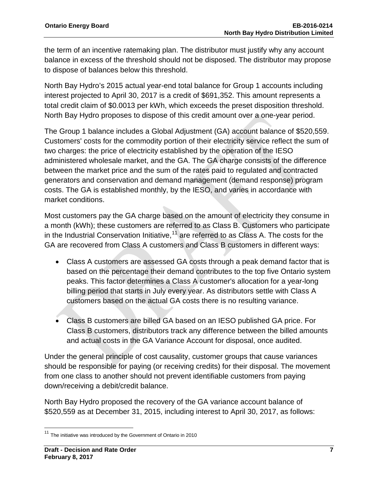the term of an incentive ratemaking plan. The distributor must justify why any account balance in excess of the threshold should not be disposed. The distributor may propose to dispose of balances below this threshold.

North Bay Hydro's 2015 actual year-end total balance for Group 1 accounts including interest projected to April 30, 2017 is a credit of \$691,352. This amount represents a total credit claim of \$0.0013 per kWh, which exceeds the preset disposition threshold. North Bay Hydro proposes to dispose of this credit amount over a one-year period.

The Group 1 balance includes a Global Adjustment (GA) account balance of \$520,559. Customers' costs for the commodity portion of their electricity service reflect the sum of two charges: the price of electricity established by the operation of the IESO administered wholesale market, and the GA. The GA charge consists of the difference between the market price and the sum of the rates paid to regulated and contracted generators and conservation and demand management (demand response) program costs. The GA is established monthly, by the IESO, and varies in accordance with market conditions.

Most customers pay the GA charge based on the amount of electricity they consume in a month (kWh); these customers are referred to as Class B. Customers who participate in the Industrial Conservation Initiative,  $11$  are referred to as Class A. The costs for the GA are recovered from Class A customers and Class B customers in different ways:

- Class A customers are assessed GA costs through a peak demand factor that is based on the percentage their demand contributes to the top five Ontario system peaks. This factor determines a Class A customer's allocation for a year-long billing period that starts in July every year. As distributors settle with Class A customers based on the actual GA costs there is no resulting variance.
- Class B customers are billed GA based on an IESO published GA price. For Class B customers, distributors track any difference between the billed amounts and actual costs in the GA Variance Account for disposal, once audited.

Under the general principle of cost causality, customer groups that cause variances should be responsible for paying (or receiving credits) for their disposal. The movement from one class to another should not prevent identifiable customers from paying down/receiving a debit/credit balance.

North Bay Hydro proposed the recovery of the GA variance account balance of \$520,559 as at December 31, 2015, including interest to April 30, 2017, as follows:

<span id="page-7-0"></span> $11$  The initiative was introduced by the Government of Ontario in 2010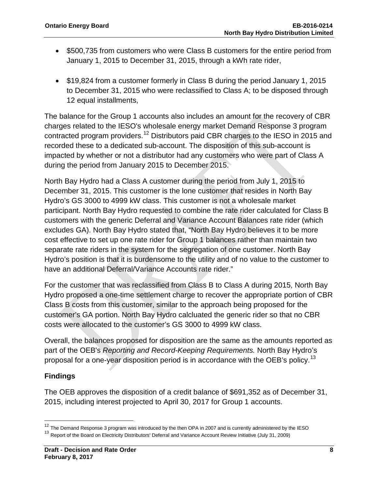- \$500,735 from customers who were Class B customers for the entire period from January 1, 2015 to December 31, 2015, through a kWh rate rider,
- \$19,824 from a customer formerly in Class B during the period January 1, 2015 to December 31, 2015 who were reclassified to Class A; to be disposed through 12 equal installments,

The balance for the Group 1 accounts also includes an amount for the recovery of CBR charges related to the IESO's wholesale energy market Demand Response 3 program contracted program providers.[12](#page-8-0) Distributors paid CBR charges to the IESO in 2015 and recorded these to a dedicated sub-account. The disposition of this sub-account is impacted by whether or not a distributor had any customers who were part of Class A during the period from January 2015 to December 2015.

North Bay Hydro had a Class A customer during the period from July 1, 2015 to December 31, 2015. This customer is the lone customer that resides in North Bay Hydro's GS 3000 to 4999 kW class. This customer is not a wholesale market participant. North Bay Hydro requested to combine the rate rider calculated for Class B customers with the generic Deferral and Variance Account Balances rate rider (which excludes GA). North Bay Hydro stated that, "North Bay Hydro believes it to be more cost effective to set up one rate rider for Group 1 balances rather than maintain two separate rate riders in the system for the segregation of one customer. North Bay Hydro's position is that it is burdensome to the utility and of no value to the customer to have an additional Deferral/Variance Accounts rate rider."

For the customer that was reclassified from Class B to Class A during 2015, North Bay Hydro proposed a one-time settlement charge to recover the appropriate portion of CBR Class B costs from this customer, similar to the approach being proposed for the customer's GA portion. North Bay Hydro calcluated the generic rider so that no CBR costs were allocated to the customer's GS 3000 to 4999 kW class.

Overall, the balances proposed for disposition are the same as the amounts reported as part of the OEB's *Reporting and Record-Keeping Requirements.* North Bay Hydro's proposal for a one-year disposition period is in accordance with the OEB's policy.<sup>[13](#page-8-1)</sup>

### **Findings**

The OEB approves the disposition of a credit balance of \$691,352 as of December 31, 2015, including interest projected to April 30, 2017 for Group 1 accounts.

<span id="page-8-0"></span> $12$  The Demand Response 3 program was introduced by the then OPA in 2007 and is currently administered by the IESO

<span id="page-8-1"></span><sup>&</sup>lt;sup>13</sup> Report of the Board on Electricity Distributors' Deferral and Variance Account Review Initiative (July 31, 2009)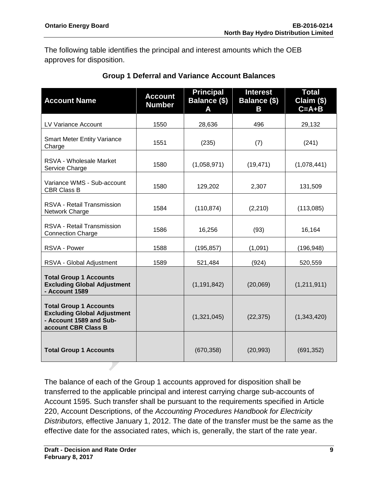The following table identifies the principal and interest amounts which the OEB approves for disposition.

| <b>Account Name</b>                                                                                                   | <b>Account</b><br><b>Number</b> | <b>Principal</b><br>Balance (\$) | <b>Interest</b><br><b>Balance (\$)</b><br>Β | <b>Total</b><br>Claim (\$)<br>$C = A + B$ |
|-----------------------------------------------------------------------------------------------------------------------|---------------------------------|----------------------------------|---------------------------------------------|-------------------------------------------|
| LV Variance Account                                                                                                   | 1550                            | 28,636                           | 496                                         | 29,132                                    |
| <b>Smart Meter Entity Variance</b><br>Charge                                                                          | 1551                            | (235)                            | (7)                                         | (241)                                     |
| RSVA - Wholesale Market<br>Service Charge                                                                             | 1580                            | (1,058,971)                      | (19, 471)                                   | (1,078,441)                               |
| Variance WMS - Sub-account<br><b>CBR Class B</b>                                                                      | 1580                            | 129,202                          | 2,307                                       | 131,509                                   |
| <b>RSVA - Retail Transmission</b><br>Network Charge                                                                   | 1584                            | (110, 874)                       | (2, 210)                                    | (113,085)                                 |
| RSVA - Retail Transmission<br><b>Connection Charge</b>                                                                | 1586                            | 16,256                           | (93)                                        | 16,164                                    |
| RSVA - Power                                                                                                          | 1588                            | (195, 857)                       | (1,091)                                     | (196, 948)                                |
| RSVA - Global Adjustment                                                                                              | 1589                            | 521,484                          | (924)                                       | 520,559                                   |
| <b>Total Group 1 Accounts</b><br><b>Excluding Global Adjustment</b><br>- Account 1589                                 |                                 | (1, 191, 842)                    | (20,069)                                    | (1,211,911)                               |
| <b>Total Group 1 Accounts</b><br><b>Excluding Global Adjustment</b><br>- Account 1589 and Sub-<br>account CBR Class B |                                 | (1,321,045)                      | (22, 375)                                   | (1,343,420)                               |
| <b>Total Group 1 Accounts</b>                                                                                         |                                 | (670, 358)                       | (20, 993)                                   | (691, 352)                                |

### **Group 1 Deferral and Variance Account Balances**

The balance of each of the Group 1 accounts approved for disposition shall be transferred to the applicable principal and interest carrying charge sub-accounts of Account 1595. Such transfer shall be pursuant to the requirements specified in Article 220, Account Descriptions, of the *Accounting Procedures Handbook for Electricity Distributors,* effective January 1, 2012. The date of the transfer must be the same as the effective date for the associated rates, which is, generally, the start of the rate year.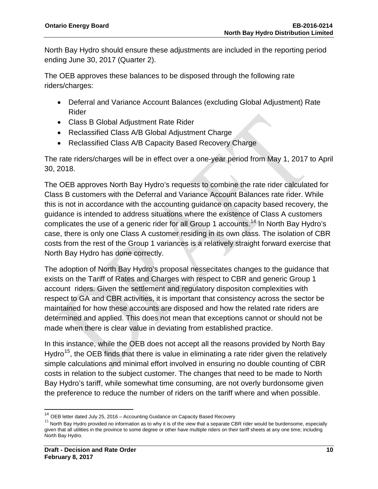North Bay Hydro should ensure these adjustments are included in the reporting period ending June 30, 2017 (Quarter 2).

The OEB approves these balances to be disposed through the following rate riders/charges:

- Deferral and Variance Account Balances (excluding Global Adjustment) Rate Rider
- Class B Global Adjustment Rate Rider
- Reclassified Class A/B Global Adjustment Charge
- Reclassified Class A/B Capacity Based Recovery Charge

The rate riders/charges will be in effect over a one-year period from May 1, 2017 to April 30, 2018.

The OEB approves North Bay Hydro's requests to combine the rate rider calculated for Class B customers with the Deferral and Variance Account Balances rate rider. While this is not in accordance with the accounting guidance on capacity based recovery, the guidance is intended to address situations where the existence of Class A customers complicates the use of a generic rider for all Group 1 accounts.<sup>[14](#page-10-0)</sup> In North Bay Hydro's case, there is only one Class A customer residing in its own class. The isolation of CBR costs from the rest of the Group 1 variances is a relatively straight forward exercise that North Bay Hydro has done correctly.

The adoption of North Bay Hydro's proposal nessecitates changes to the guidance that exists on the Tariff of Rates and Charges with respect to CBR and generic Group 1 account riders. Given the settlement and regulatory dispositon complexities with respect to GA and CBR activities, it is important that consistency across the sector be maintained for how these accounts are disposed and how the related rate riders are determined and applied. This does not mean that exceptions cannot or should not be made when there is clear value in deviating from established practice.

In this instance, while the OEB does not accept all the reasons provided by North Bay Hydro<sup>[15](#page-10-1)</sup>, the OEB finds that there is value in eliminating a rate rider given the relatively simple calculations and minimal effort involved in ensuring no double counting of CBR costs in relation to the subject customer. The changes that need to be made to North Bay Hydro's tariff, while somewhat time consuming, are not overly burdonsome given the preference to reduce the number of riders on the tariff where and when possible.

<span id="page-10-1"></span>

<span id="page-10-0"></span><sup>&</sup>lt;sup>14</sup> OEB letter dated July 25, 2016 – Accounting Guidance on Capacity Based Recovery<br><sup>15</sup> North Bay Hydro provided no information as to why it is of the view that a separate CBR rider would be burdensome, especially given that all utilities in the province to some degree or other have multiple riders on their tariff sheets at any one time; including North Bay Hydro.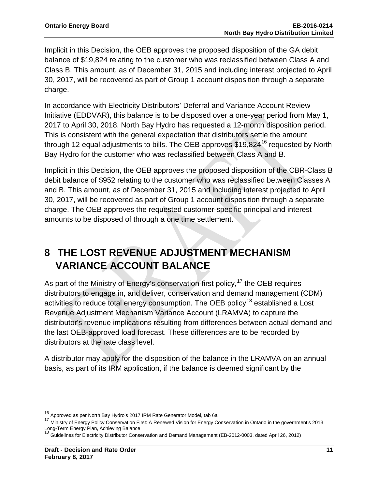Implicit in this Decision, the OEB approves the proposed disposition of the GA debit balance of \$19,824 relating to the customer who was reclassified between Class A and Class B. This amount, as of December 31, 2015 and including interest projected to April 30, 2017, will be recovered as part of Group 1 account disposition through a separate charge.

In accordance with Electricity Distributors' Deferral and Variance Account Review Initiative (EDDVAR), this balance is to be disposed over a one-year period from May 1, 2017 to April 30, 2018. North Bay Hydro has requested a 12-month disposition period. This is consistent with the general expectation that distributors settle the amount through 12 equal adjustments to bills. The OEB approves  $$19.824<sup>16</sup>$  $$19.824<sup>16</sup>$  $$19.824<sup>16</sup>$  requested by North Bay Hydro for the customer who was reclassified between Class A and B.

Implicit in this Decision, the OEB approves the proposed disposition of the CBR-Class B debit balance of \$952 relating to the customer who was reclassified between Classes A and B. This amount, as of December 31, 2015 and including interest projected to April 30, 2017, will be recovered as part of Group 1 account disposition through a separate charge. The OEB approves the requested customer-specific principal and interest amounts to be disposed of through a one time settlement.

## **8 THE LOST REVENUE ADJUSTMENT MECHANISM VARIANCE ACCOUNT BALANCE**

As part of the Ministry of Energy's conservation-first policy,<sup>[17](#page-11-1)</sup> the OEB requires distributors to engage in, and deliver, conservation and demand management (CDM) activities to reduce total energy consumption. The OEB policy<sup>[18](#page-11-2)</sup> established a Lost Revenue Adjustment Mechanism Variance Account (LRAMVA) to capture the distributor's revenue implications resulting from differences between actual demand and the last OEB-approved load forecast. These differences are to be recorded by distributors at the rate class level.

A distributor may apply for the disposition of the balance in the LRAMVA on an annual basis, as part of its IRM application, if the balance is deemed significant by the

<span id="page-11-0"></span><sup>16</sup> Approved as per North Bay Hydro's 2017 IRM Rate Generator Model, tab 6a

<span id="page-11-1"></span><sup>&</sup>lt;sup>17</sup> Ministry of Energy Policy Conservation First: A Renewed Vision for Energy Conservation in Ontario in the government's 2013<br>Long-Term Energy Plan, Achieving Balance<br><sup>18</sup> Outdebuse 17

<span id="page-11-2"></span><sup>&</sup>lt;sup>1</sup> Guidelines for Electricity Distributor Conservation and Demand Management (EB-2012-0003, dated April 26, 2012)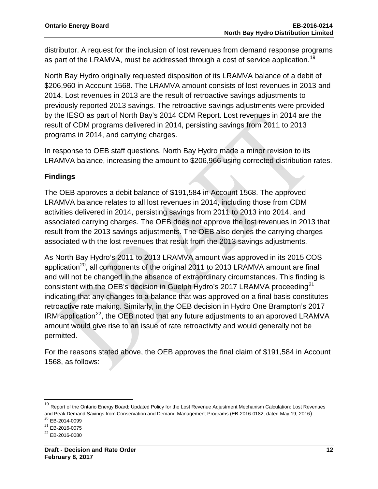distributor. A request for the inclusion of lost revenues from demand response programs as part of the LRAMVA, must be addressed through a cost of service application.<sup>[19](#page-12-0)</sup>

North Bay Hydro originally requested disposition of its LRAMVA balance of a debit of \$206,960 in Account 1568. The LRAMVA amount consists of lost revenues in 2013 and 2014. Lost revenues in 2013 are the result of retroactive savings adjustments to previously reported 2013 savings. The retroactive savings adjustments were provided by the IESO as part of North Bay's 2014 CDM Report. Lost revenues in 2014 are the result of CDM programs delivered in 2014, persisting savings from 2011 to 2013 programs in 2014, and carrying charges.

In response to OEB staff questions, North Bay Hydro made a minor revision to its LRAMVA balance, increasing the amount to \$206,966 using corrected distribution rates.

### **Findings**

The OEB approves a debit balance of \$191,584 in Account 1568. The approved LRAMVA balance relates to all lost revenues in 2014, including those from CDM activities delivered in 2014, persisting savings from 2011 to 2013 into 2014, and associated carrying charges. The OEB does not approve the lost revenues in 2013 that result from the 2013 savings adjustments. The OEB also denies the carrying charges associated with the lost revenues that result from the 2013 savings adjustments.

As North Bay Hydro's 2011 to 2013 LRAMVA amount was approved in its 2015 COS application<sup>20</sup>, all components of the original 2011 to 2013 LRAMVA amount are final and will not be changed in the absence of extraordinary circumstances. This finding is consistent with the OEB's decision in Guelph Hydro's 2017 LRAMVA proceeding<sup>[21](#page-12-2)</sup> indicating that any changes to a balance that was approved on a final basis constitutes retroactive rate making. Similarly, in the OEB decision in Hydro One Brampton's 2017 IRM application<sup>[22](#page-12-3)</sup>, the OEB noted that any future adjustments to an approved LRAMVA amount would give rise to an issue of rate retroactivity and would generally not be permitted.

For the reasons stated above, the OEB approves the final claim of \$191,584 in Account 1568, as follows:

<span id="page-12-0"></span><sup>&</sup>lt;sup>19</sup> Report of the Ontario Energy Board; Updated Policy for the Lost Revenue Adjustment Mechanism Calculation: Lost Revenues and Peak Demand Savings from Conservation and Demand Management Programs (EB-2016-0182, dated May 19, 2016)  $^{20}$  EB-2014-0099

<span id="page-12-2"></span><span id="page-12-1"></span> $^{21}$  EB-2016-0075

<span id="page-12-3"></span><sup>22</sup> EB-2016-0080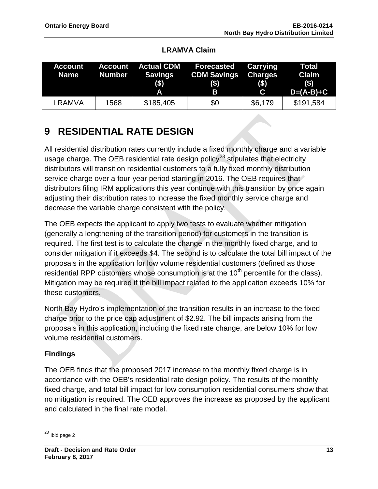| <b>Account</b><br>Name | <b>Account</b><br><b>Number</b> | <b>Actual CDM</b><br>Savings<br>$($ \$)<br>Α | <b>Forecasted</b><br><b>CDM Savings</b><br>(3)<br>B | <b>Carrying</b><br><b>Charges</b><br>$($ \$)<br>$\mathbf{C}$ | <b>Total</b><br><b>Claim</b><br>$($)$<br>$D=(A-B)+C$ |
|------------------------|---------------------------------|----------------------------------------------|-----------------------------------------------------|--------------------------------------------------------------|------------------------------------------------------|
| LRAMVA                 | 1568                            | \$185,405                                    | \$0                                                 | \$6,179                                                      | \$191,584                                            |

### **LRAMVA Claim**

## **9 RESIDENTIAL RATE DESIGN**

All residential distribution rates currently include a fixed monthly charge and a variable usage charge. The OEB residential rate design policy<sup>[23](#page-13-0)</sup> stipulates that electricity distributors will transition residential customers to a fully fixed monthly distribution service charge over a four-year period starting in 2016. The OEB requires that distributors filing IRM applications this year continue with this transition by once again adjusting their distribution rates to increase the fixed monthly service charge and decrease the variable charge consistent with the policy.

The OEB expects the applicant to apply two tests to evaluate whether mitigation (generally a lengthening of the transition period) for customers in the transition is required. The first test is to calculate the change in the monthly fixed charge, and to consider mitigation if it exceeds \$4. The second is to calculate the total bill impact of the proposals in the application for low volume residential customers (defined as those residential RPP customers whose consumption is at the  $10<sup>th</sup>$  percentile for the class). Mitigation may be required if the bill impact related to the application exceeds 10% for these customers.

North Bay Hydro's implementation of the transition results in an increase to the fixed charge prior to the price cap adjustment of \$2.92. The bill impacts arising from the proposals in this application, including the fixed rate change, are below 10% for low volume residential customers.

### **Findings**

The OEB finds that the proposed 2017 increase to the monthly fixed charge is in accordance with the OEB's residential rate design policy. The results of the monthly fixed charge, and total bill impact for low consumption residential consumers show that no mitigation is required. The OEB approves the increase as proposed by the applicant and calculated in the final rate model.

<span id="page-13-0"></span> $23$  Ibid page 2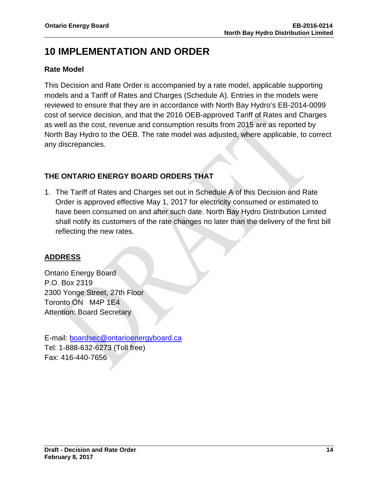## **10 IMPLEMENTATION AND ORDER**

### **Rate Model**

This Decision and Rate Order is accompanied by a rate model, applicable supporting models and a Tariff of Rates and Charges (Schedule A). Entries in the models were reviewed to ensure that they are in accordance with North Bay Hydro's EB-2014-0099 cost of service decision, and that the 2016 OEB-approved Tariff of Rates and Charges as well as the cost, revenue and consumption results from 2015 are as reported by North Bay Hydro to the OEB. The rate model was adjusted, where applicable, to correct any discrepancies.

### **THE ONTARIO ENERGY BOARD ORDERS THAT**

1. The Tariff of Rates and Charges set out in Schedule A of this Decision and Rate Order is approved effective May 1, 2017 for electricity consumed or estimated to have been consumed on and after such date. North Bay Hydro Distribution Limited shall notify its customers of the rate changes no later than the delivery of the first bill reflecting the new rates.

### **ADDRESS**

Ontario Energy Board P.O. Box 2319 2300 Yonge Street, 27th Floor Toronto ON M4P 1E4 Attention: Board Secretary

E-mail: [boardsec@ontarioenergyboard.ca](mailto:boardsec@ontarioenergyboard.ca) Tel: 1-888-632-6273 (Toll free) Fax: 416-440-7656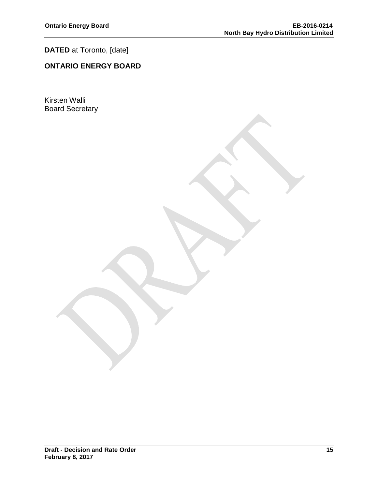### **DATED** at Toronto, [date]

### **ONTARIO ENERGY BOARD**

Kirsten Walli Board Secretary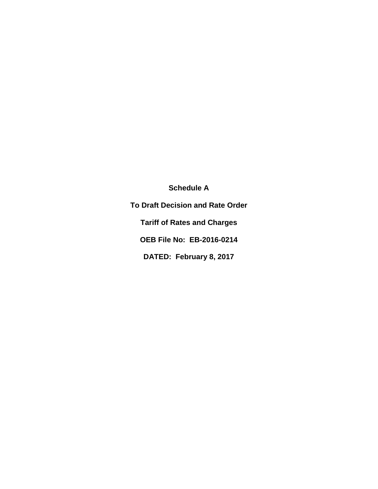**Schedule A**

**To Draft Decision and Rate Order Tariff of Rates and Charges OEB File No: EB-2016-0214 DATED: February 8, 2017**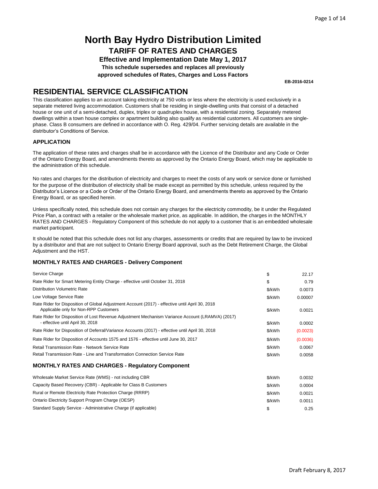**Effective and Implementation Date May 1, 2017 This schedule supersedes and replaces all previously approved schedules of Rates, Charges and Loss Factors**

**EB-2016-0214**

### **RESIDENTIAL SERVICE CLASSIFICATION**

This classification applies to an account taking electricity at 750 volts or less where the electricity is used exclusively in a separate metered living accommodation. Customers shall be residing in single-dwelling units that consist of a detached house or one unit of a semi-detached, duplex, triplex or quadruplex house, with a residential zoning. Separately metered dwellings within a town house complex or apartment building also qualify as residential customers. All customers are singlephase. Class B consumers are defined in accordance with O. Reg. 429/04. Further servicing details are available in the distributor's Conditions of Service.

#### **APPLICATION**

The application of these rates and charges shall be in accordance with the Licence of the Distributor and any Code or Order of the Ontario Energy Board, and amendments thereto as approved by the Ontario Energy Board, which may be applicable to the administration of this schedule.

No rates and charges for the distribution of electricity and charges to meet the costs of any work or service done or furnished for the purpose of the distribution of electricity shall be made except as permitted by this schedule, unless required by the Distributor's Licence or a Code or Order of the Ontario Energy Board, and amendments thereto as approved by the Ontario Energy Board, or as specified herein.

Unless specifically noted, this schedule does not contain any charges for the electricity commodity, be it under the Regulated Price Plan, a contract with a retailer or the wholesale market price, as applicable. In addition, the charges in the MONTHLY RATES AND CHARGES - Regulatory Component of this schedule do not apply to a customer that is an embedded wholesale market participant.

It should be noted that this schedule does not list any charges, assessments or credits that are required by law to be invoiced by a distributor and that are not subject to Ontario Energy Board approval, such as the Debt Retirement Charge, the Global Adjustment and the HST.

| Service Charge                                                                                                                           | \$     | 22.17    |
|------------------------------------------------------------------------------------------------------------------------------------------|--------|----------|
| Rate Rider for Smart Metering Entity Charge - effective until October 31, 2018                                                           | \$     | 0.79     |
| <b>Distribution Volumetric Rate</b>                                                                                                      | \$/kWh | 0.0073   |
| Low Voltage Service Rate                                                                                                                 | \$/kWh | 0.00007  |
| Rate Rider for Disposition of Global Adjustment Account (2017) - effective until April 30, 2018<br>Applicable only for Non-RPP Customers | \$/kWh | 0.0021   |
| Rate Rider for Disposition of Lost Revenue Adjustment Mechanism Variance Account (LRAMVA) (2017)<br>- effective until April 30, 2018     | \$/kWh | 0.0002   |
| Rate Rider for Disposition of Deferral/Variance Accounts (2017) - effective until April 30, 2018                                         | \$/kWh | (0.0023) |
| Rate Rider for Disposition of Accounts 1575 and 1576 - effective until June 30, 2017                                                     | \$/kWh | (0.0036) |
| Retail Transmission Rate - Network Service Rate                                                                                          | \$/kWh | 0.0067   |
| Retail Transmission Rate - Line and Transformation Connection Service Rate                                                               | \$/kWh | 0.0058   |
| <b>MONTHLY RATES AND CHARGES - Requiatory Component</b>                                                                                  |        |          |
| Wholesale Market Service Rate (WMS) - not including CBR                                                                                  | \$/kWh | 0.0032   |
| Capacity Based Recovery (CBR) - Applicable for Class B Customers                                                                         | \$/kWh | 0.0004   |
| Rural or Remote Electricity Rate Protection Charge (RRRP)                                                                                | \$/kWh | 0.0021   |
| Ontario Electricity Support Program Charge (OESP)                                                                                        | \$/kWh | 0.0011   |
| Standard Supply Service - Administrative Charge (if applicable)                                                                          | \$     | 0.25     |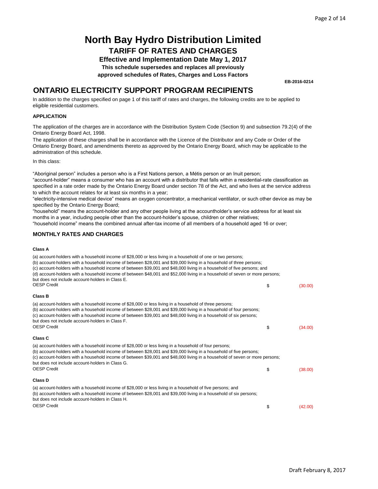**Effective and Implementation Date May 1, 2017**

**This schedule supersedes and replaces all previously**

**approved schedules of Rates, Charges and Loss Factors**

**EB-2016-0214**

### **ONTARIO ELECTRICITY SUPPORT PROGRAM RECIPIENTS**

In addition to the charges specified on page 1 of this tariff of rates and charges, the following credits are to be applied to eligible residential customers.

#### **APPLICATION**

The application of the charges are in accordance with the Distribution System Code (Section 9) and subsection 79.2(4) of the Ontario Energy Board Act, 1998.

The application of these charges shall be in accordance with the Licence of the Distributor and any Code or Order of the Ontario Energy Board, and amendments thereto as approved by the Ontario Energy Board, which may be applicable to the administration of this schedule.

In this class:

"Aboriginal person" includes a person who is a First Nations person, a Métis person or an Inuit person;

"account-holder" means a consumer who has an account with a distributor that falls within a residential-rate classification as specified in a rate order made by the Ontario Energy Board under section 78 of the Act, and who lives at the service address to which the account relates for at least six months in a year;

"electricity-intensive medical device" means an oxygen concentrator, a mechanical ventilator, or such other device as may be specified by the Ontario Energy Board;

"household" means the account-holder and any other people living at the accountholder's service address for at least six months in a year, including people other than the account-holder's spouse, children or other relatives;

"household income" means the combined annual after-tax income of all members of a household aged 16 or over;

#### **MONTHLY RATES AND CHARGES**

#### **Class A**

| (a) account-holders with a household income of \$28,000 or less living in a household of one or two persons;<br>(b) account-holders with a household income of between \$28,001 and \$39,000 living in a household of three persons;<br>(c) account-holders with a household income of between \$39,001 and \$48,000 living in a household of five persons; and<br>(d) account-holders with a household income of between \$48,001 and \$52,000 living in a household of seven or more persons;<br>but does not include account-holders in Class E. |               |
|-----------------------------------------------------------------------------------------------------------------------------------------------------------------------------------------------------------------------------------------------------------------------------------------------------------------------------------------------------------------------------------------------------------------------------------------------------------------------------------------------------------------------------------------------------|---------------|
| <b>OESP Credit</b>                                                                                                                                                                                                                                                                                                                                                                                                                                                                                                                                  | \$<br>(30.00) |
| <b>Class B</b>                                                                                                                                                                                                                                                                                                                                                                                                                                                                                                                                      |               |
| (a) account-holders with a household income of \$28,000 or less living in a household of three persons;<br>(b) account-holders with a household income of between \$28,001 and \$39,000 living in a household of four persons;<br>(c) account-holders with a household income of between \$39,001 and \$48,000 living in a household of six persons;<br>but does not include account-holders in Class F.<br><b>OESP Credit</b>                                                                                                                      | \$<br>(34.00) |
| Class C                                                                                                                                                                                                                                                                                                                                                                                                                                                                                                                                             |               |
| (a) account-holders with a household income of \$28,000 or less living in a household of four persons;<br>(b) account-holders with a household income of between \$28,001 and \$39,000 living in a household of five persons;<br>(c) account-holders with a household income of between \$39,001 and \$48,000 living in a household of seven or more persons;<br>but does not include account-holders in Class G.                                                                                                                                   |               |
| <b>OESP Credit</b>                                                                                                                                                                                                                                                                                                                                                                                                                                                                                                                                  | \$<br>(38.00) |
| <b>Class D</b>                                                                                                                                                                                                                                                                                                                                                                                                                                                                                                                                      |               |
| (a) account-holders with a household income of \$28,000 or less living in a household of five persons; and<br>(b) account-holders with a household income of between \$28,001 and \$39,000 living in a household of six persons;<br>but does not include account-holders in Class H.                                                                                                                                                                                                                                                                |               |
| <b>OESP Credit</b>                                                                                                                                                                                                                                                                                                                                                                                                                                                                                                                                  | \$<br>(42.00) |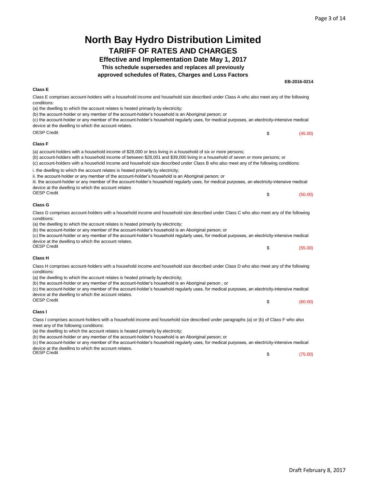| <b>North Bay Hydro Distribution Limited</b>                                                                                                                                                                                                                                                                                                                                                      |               |
|--------------------------------------------------------------------------------------------------------------------------------------------------------------------------------------------------------------------------------------------------------------------------------------------------------------------------------------------------------------------------------------------------|---------------|
| <b>TARIFF OF RATES AND CHARGES</b>                                                                                                                                                                                                                                                                                                                                                               |               |
| <b>Effective and Implementation Date May 1, 2017</b>                                                                                                                                                                                                                                                                                                                                             |               |
| This schedule supersedes and replaces all previously                                                                                                                                                                                                                                                                                                                                             |               |
| approved schedules of Rates, Charges and Loss Factors                                                                                                                                                                                                                                                                                                                                            |               |
|                                                                                                                                                                                                                                                                                                                                                                                                  | EB-2016-0214  |
| <b>Class E</b>                                                                                                                                                                                                                                                                                                                                                                                   |               |
| Class E comprises account-holders with a household income and household size described under Class A who also meet any of the following<br>conditions:                                                                                                                                                                                                                                           |               |
| (a) the dwelling to which the account relates is heated primarily by electricity;                                                                                                                                                                                                                                                                                                                |               |
| (b) the account-holder or any member of the account-holder's household is an Aboriginal person; or<br>(c) the account-holder or any member of the account-holder's household regularly uses, for medical purposes, an electricity-intensive medical<br>device at the dwelling to which the account relates.                                                                                      |               |
| <b>OESP Credit</b>                                                                                                                                                                                                                                                                                                                                                                               | \$<br>(45.00) |
| <b>Class F</b>                                                                                                                                                                                                                                                                                                                                                                                   |               |
| (a) account-holders with a household income of \$28,000 or less living in a household of six or more persons;<br>(b) account-holders with a household income of between \$28,001 and \$39,000 living in a household of seven or more persons; or<br>(c) account-holders with a household income and household size described under Class B who also meet any of the following conditions:        |               |
| i. the dwelling to which the account relates is heated primarily by electricity;<br>ii. the account-holder or any member of the account-holder's household is an Aboriginal person; or<br>iii. the account-holder or any member of the account-holder's household regularly uses, for medical purposes, an electricity-intensive medical<br>device at the dwelling to which the account relates  |               |
| <b>OESP Credit</b>                                                                                                                                                                                                                                                                                                                                                                               | \$<br>(50.00) |
| Class G                                                                                                                                                                                                                                                                                                                                                                                          |               |
| Class G comprises account-holders with a household income and household size described under Class C who also meet any of the following<br>conditions:                                                                                                                                                                                                                                           |               |
| (a) the dwelling to which the account relates is heated primarily by electricity;<br>(b) the account-holder or any member of the account-holder's household is an Aboriginal person; or<br>(c) the account-holder or any member of the account-holder's household regularly uses, for medical purposes, an electricity-intensive medical<br>device at the dwelling to which the account relates. |               |
| <b>OESP Credit</b>                                                                                                                                                                                                                                                                                                                                                                               | \$<br>(55.00) |
| <b>Class H</b>                                                                                                                                                                                                                                                                                                                                                                                   |               |
| Class H comprises account-holders with a household income and household size described under Class D who also meet any of the following<br>conditions:                                                                                                                                                                                                                                           |               |
| (a) the dwelling to which the account relates is heated primarily by electricity;<br>(b) the account-holder or any member of the account-holder's household is an Aboriginal person; or<br>(c) the account-holder or any member of the account-holder's household regularly uses, for medical purposes, an electricity-intensive medical                                                         |               |
| device at the dwelling to which the account relates.                                                                                                                                                                                                                                                                                                                                             |               |
| <b>OESP Credit</b>                                                                                                                                                                                                                                                                                                                                                                               | \$<br>(60.00) |
| Class I                                                                                                                                                                                                                                                                                                                                                                                          |               |
| Class I comprises account-holders with a household income and household size described under paragraphs (a) or (b) of Class F who also<br>meet any of the following conditions:                                                                                                                                                                                                                  |               |
| (a) the dwelling to which the account relates is heated primarily by electricity;<br>(b) the account-holder or any member of the account-holder's household is an Aboriginal person; or                                                                                                                                                                                                          |               |
|                                                                                                                                                                                                                                                                                                                                                                                                  |               |

(c) the account-holder or any member of the account-holder's household regularly uses, for medical purposes, an electricity-intensive medical device at the dwelling to which the account relates. OESP Credit

 $$$  (75.00)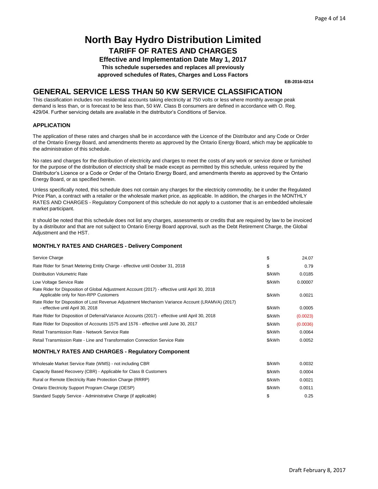**Effective and Implementation Date May 1, 2017 This schedule supersedes and replaces all previously**

**approved schedules of Rates, Charges and Loss Factors**

**EB-2016-0214**

### **GENERAL SERVICE LESS THAN 50 KW SERVICE CLASSIFICATION**

This classification includes non residential accounts taking electricity at 750 volts or less where monthly average peak demand is less than, or is forecast to be less than, 50 kW. Class B consumers are defined in accordance with O. Reg. 429/04. Further servicing details are available in the distributor's Conditions of Service.

#### **APPLICATION**

The application of these rates and charges shall be in accordance with the Licence of the Distributor and any Code or Order of the Ontario Energy Board, and amendments thereto as approved by the Ontario Energy Board, which may be applicable to the administration of this schedule.

No rates and charges for the distribution of electricity and charges to meet the costs of any work or service done or furnished for the purpose of the distribution of electricity shall be made except as permitted by this schedule, unless required by the Distributor's Licence or a Code or Order of the Ontario Energy Board, and amendments thereto as approved by the Ontario Energy Board, or as specified herein.

Unless specifically noted, this schedule does not contain any charges for the electricity commodity, be it under the Regulated Price Plan, a contract with a retailer or the wholesale market price, as applicable. In addition, the charges in the MONTHLY RATES AND CHARGES - Regulatory Component of this schedule do not apply to a customer that is an embedded wholesale market participant.

It should be noted that this schedule does not list any charges, assessments or credits that are required by law to be invoiced by a distributor and that are not subject to Ontario Energy Board approval, such as the Debt Retirement Charge, the Global Adjustment and the HST.

| Service Charge                                                                                                                           | \$     | 24.07    |
|------------------------------------------------------------------------------------------------------------------------------------------|--------|----------|
| Rate Rider for Smart Metering Entity Charge - effective until October 31, 2018                                                           | \$     | 0.79     |
| <b>Distribution Volumetric Rate</b>                                                                                                      | \$/kWh | 0.0185   |
| Low Voltage Service Rate                                                                                                                 | \$/kWh | 0.00007  |
| Rate Rider for Disposition of Global Adjustment Account (2017) - effective until April 30, 2018<br>Applicable only for Non-RPP Customers | \$/kWh | 0.0021   |
| Rate Rider for Disposition of Lost Revenue Adjustment Mechanism Variance Account (LRAMVA) (2017)<br>- effective until April 30, 2018     | \$/kWh | 0.0005   |
| Rate Rider for Disposition of Deferral/Variance Accounts (2017) - effective until April 30, 2018                                         | \$/kWh | (0.0023) |
| Rate Rider for Disposition of Accounts 1575 and 1576 - effective until June 30, 2017                                                     | \$/kWh | (0.0036) |
| Retail Transmission Rate - Network Service Rate                                                                                          | \$/kWh | 0.0064   |
| Retail Transmission Rate - Line and Transformation Connection Service Rate                                                               | \$/kWh | 0.0052   |
| <b>MONTHLY RATES AND CHARGES - Regulatory Component</b>                                                                                  |        |          |
| Wholesale Market Service Rate (WMS) - not including CBR                                                                                  | \$/kWh | 0.0032   |
| Capacity Based Recovery (CBR) - Applicable for Class B Customers                                                                         | \$/kWh | 0.0004   |
| Rural or Remote Electricity Rate Protection Charge (RRRP)                                                                                | \$/kWh | 0.0021   |
| Ontario Electricity Support Program Charge (OESP)                                                                                        | \$/kWh | 0.0011   |
| Standard Supply Service - Administrative Charge (if applicable)                                                                          | \$     | 0.25     |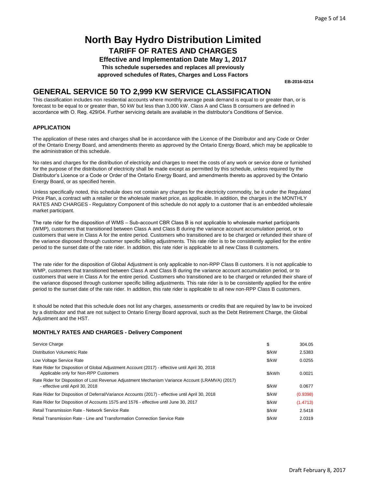**Effective and Implementation Date May 1, 2017 This schedule supersedes and replaces all previously**

**approved schedules of Rates, Charges and Loss Factors**

**EB-2016-0214**

### **GENERAL SERVICE 50 TO 2,999 KW SERVICE CLASSIFICATION**

This classification includes non residential accounts where monthly average peak demand is equal to or greater than, or is forecast to be equal to or greater than, 50 kW but less than 3,000 kW. Class A and Class B consumers are defined in accordance with O. Reg. 429/04. Further servicing details are available in the distributor's Conditions of Service.

#### **APPLICATION**

The application of these rates and charges shall be in accordance with the Licence of the Distributor and any Code or Order of the Ontario Energy Board, and amendments thereto as approved by the Ontario Energy Board, which may be applicable to the administration of this schedule.

No rates and charges for the distribution of electricity and charges to meet the costs of any work or service done or furnished for the purpose of the distribution of electricity shall be made except as permitted by this schedule, unless required by the Distributor's Licence or a Code or Order of the Ontario Energy Board, and amendments thereto as approved by the Ontario Energy Board, or as specified herein.

Unless specifically noted, this schedule does not contain any charges for the electricity commodity, be it under the Regulated Price Plan, a contract with a retailer or the wholesale market price, as applicable. In addition, the charges in the MONTHLY RATES AND CHARGES - Regulatory Component of this schedule do not apply to a customer that is an embedded wholesale market participant.

The rate rider for the disposition of WMS – Sub-account CBR Class B is not applicable to wholesale market participants (WMP), customers that transitioned between Class A and Class B during the variance account accumulation period, or to customers that were in Class A for the entire period. Customers who transitioned are to be charged or refunded their share of the variance disposed through customer specific billing adjustments. This rate rider is to be consistently applied for the entire period to the sunset date of the rate rider. In addition, this rate rider is applicable to all new Class B customers.

The rate rider for the disposition of Global Adjustment is only applicable to non-RPP Class B customers. It is not applicable to WMP, customers that transitioned between Class A and Class B during the variance account accumulation period, or to customers that were in Class A for the entire period. Customers who transitioned are to be charged or refunded their share of the variance disposed through customer specific billing adjustments. This rate rider is to be consistently applied for the entire period to the sunset date of the rate rider. In addition, this rate rider is applicable to all new non-RPP Class B customers.

It should be noted that this schedule does not list any charges, assessments or credits that are required by law to be invoiced by a distributor and that are not subject to Ontario Energy Board approval, such as the Debt Retirement Charge, the Global Adjustment and the HST.

| Service Charge                                                                                                                           | \$     | 304.05   |
|------------------------------------------------------------------------------------------------------------------------------------------|--------|----------|
| Distribution Volumetric Rate                                                                                                             | \$/kW  | 2.5383   |
| Low Voltage Service Rate                                                                                                                 | \$/kW  | 0.0255   |
| Rate Rider for Disposition of Global Adjustment Account (2017) - effective until April 30, 2018<br>Applicable only for Non-RPP Customers | \$/kWh | 0.0021   |
| Rate Rider for Disposition of Lost Revenue Adjustment Mechanism Variance Account (LRAMVA) (2017)<br>- effective until April 30, 2018     | \$/kW  | 0.0677   |
| Rate Rider for Disposition of Deferral/Variance Accounts (2017) - effective until April 30, 2018                                         | \$/kW  | (0.9398) |
| Rate Rider for Disposition of Accounts 1575 and 1576 - effective until June 30, 2017                                                     | \$/kW  | (1.4713) |
| Retail Transmission Rate - Network Service Rate                                                                                          | \$/kW  | 2.5418   |
| Retail Transmission Rate - Line and Transformation Connection Service Rate                                                               | \$/kW  | 2.0319   |
|                                                                                                                                          |        |          |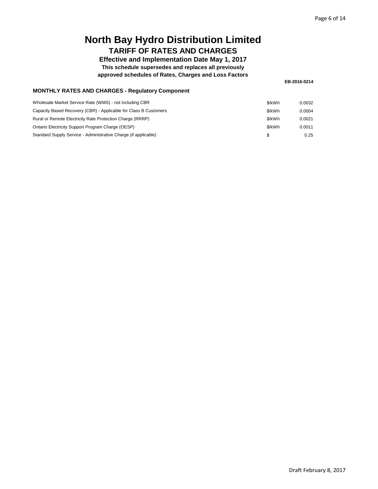### **Effective and Implementation Date May 1, 2017 This schedule supersedes and replaces all previously**

**approved schedules of Rates, Charges and Loss Factors**

**EB-2016-0214**

| <b>MONTHLY RATES AND CHARGES - Regulatory Component</b> |  |  |  |
|---------------------------------------------------------|--|--|--|
|---------------------------------------------------------|--|--|--|

| Wholesale Market Service Rate (WMS) - not including CBR          | \$/kWh | 0.0032 |
|------------------------------------------------------------------|--------|--------|
| Capacity Based Recovery (CBR) - Applicable for Class B Customers | \$/kWh | 0.0004 |
| Rural or Remote Electricity Rate Protection Charge (RRRP)        | \$/kWh | 0.0021 |
| Ontario Electricity Support Program Charge (OESP)                | \$/kWh | 0.0011 |
| Standard Supply Service - Administrative Charge (if applicable)  | \$     | 0.25   |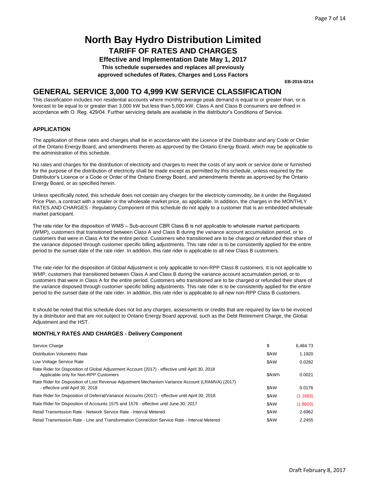**Effective and Implementation Date May 1, 2017 This schedule supersedes and replaces all previously approved schedules of Rates, Charges and Loss Factors**

**EB-2016-0214**

### **GENERAL SERVICE 3,000 TO 4,999 KW SERVICE CLASSIFICATION**

This classification includes non residential accounts where monthly average peak demand is equal to or greater than, or is forecast to be equal to or greater than 3,000 kW but less than 5,000 kW. Class A and Class B consumers are defined in accordance with O. Reg. 429/04. Further servicing details are available in the distributor's Conditions of Service.

#### **APPLICATION**

The application of these rates and charges shall be in accordance with the Licence of the Distributor and any Code or Order of the Ontario Energy Board, and amendments thereto as approved by the Ontario Energy Board, which may be applicable to the administration of this schedule.

No rates and charges for the distribution of electricity and charges to meet the costs of any work or service done or furnished for the purpose of the distribution of electricity shall be made except as permitted by this schedule, unless required by the Distributor's Licence or a Code or Order of the Ontario Energy Board, and amendments thereto as approved by the Ontario Energy Board, or as specified herein.

Unless specifically noted, this schedule does not contain any charges for the electricity commodity, be it under the Regulated Price Plan, a contract with a retailer or the wholesale market price, as applicable. In addition, the charges in the MONTHLY RATES AND CHARGES - Regulatory Component of this schedule do not apply to a customer that is an embedded wholesale market participant.

The rate rider for the disposition of WMS – Sub-account CBR Class B is not applicable to wholesale market participants (WMP), customers that transitioned between Class A and Class B during the variance account accumulation period, or to customers that were in Class A for the entire period. Customers who transitioned are to be charged or refunded their share of the variance disposed through customer specific billing adjustments. This rate rider is to be consistently applied for the entire period to the sunset date of the rate rider. In addition, this rate rider is applicable to all new Class B customers.

The rate rider for the disposition of Global Adjustment is only applicable to non-RPP Class B customers. It is not applicable to WMP, customers that transitioned between Class A and Class B during the variance account accumulation period, or to customers that were in Class A for the entire period. Customers who transitioned are to be charged or refunded their share of the variance disposed through customer specific billing adjustments. This rate rider is to be consistently applied for the entire period to the sunset date of the rate rider. In addition, this rate rider is applicable to all new non-RPP Class B customers.

It should be noted that this schedule does not list any charges, assessments or credits that are required by law to be invoiced by a distributor and that are not subject to Ontario Energy Board approval, such as the Debt Retirement Charge, the Global Adjustment and the HST.

| Service Charge                                                                                                                           | \$     | 6.484.73 |
|------------------------------------------------------------------------------------------------------------------------------------------|--------|----------|
| Distribution Volumetric Rate                                                                                                             | \$/kW  | 1.1920   |
| Low Voltage Service Rate                                                                                                                 | \$/kW  | 0.0282   |
| Rate Rider for Disposition of Global Adjustment Account (2017) - effective until April 30, 2018<br>Applicable only for Non-RPP Customers | \$/kWh | 0.0021   |
| Rate Rider for Disposition of Lost Revenue Adjustment Mechanism Variance Account (LRAMVA) (2017)<br>- effective until April 30, 2018     | \$/kW  | 0.0176   |
| Rate Rider for Disposition of Deferral/Variance Accounts (2017) - effective until April 30, 2018                                         | \$/kW  | (1.1683) |
| Rate Rider for Disposition of Accounts 1575 and 1576 - effective until June 30, 2017                                                     | \$/kW  | (1.8603) |
| Retail Transmission Rate - Network Service Rate - Interval Metered                                                                       | \$/kW  | 2.6962   |
| Retail Transmission Rate - Line and Transformation Connection Service Rate - Interval Metered                                            | \$/kW  | 2.2455   |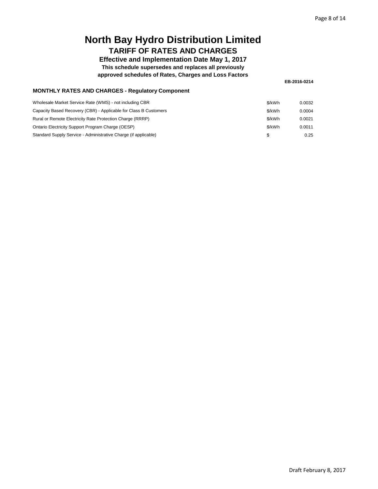### **Effective and Implementation Date May 1, 2017 This schedule supersedes and replaces all previously**

**approved schedules of Rates, Charges and Loss Factors**

**EB-2016-0214**

|  |  | <b>MONTHLY RATES AND CHARGES - Regulatory Component</b> |
|--|--|---------------------------------------------------------|
|--|--|---------------------------------------------------------|

| Wholesale Market Service Rate (WMS) - not including CBR          | \$/kWh | 0.0032 |
|------------------------------------------------------------------|--------|--------|
| Capacity Based Recovery (CBR) - Applicable for Class B Customers | \$/kWh | 0.0004 |
| Rural or Remote Electricity Rate Protection Charge (RRRP)        | \$/kWh | 0.0021 |
| Ontario Electricity Support Program Charge (OESP)                | \$/kWh | 0.0011 |
| Standard Supply Service - Administrative Charge (if applicable)  | \$     | 0.25   |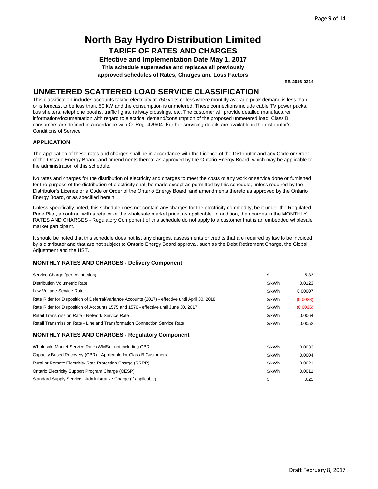**Effective and Implementation Date May 1, 2017 This schedule supersedes and replaces all previously approved schedules of Rates, Charges and Loss Factors**

**EB-2016-0214**

### **UNMETERED SCATTERED LOAD SERVICE CLASSIFICATION**

This classification includes accounts taking electricity at 750 volts or less where monthly average peak demand is less than, or is forecast to be less than, 50 kW and the consumption is unmetered. These connections include cable TV power packs, bus shelters, telephone booths, traffic lights, railway crossings, etc. The customer will provide detailed manufacturer information/documentation with regard to electrical demand/consumption of the proposed unmetered load. Class B consumers are defined in accordance with O. Reg. 429/04. Further servicing details are available in the distributor's Conditions of Service.

### **APPLICATION**

The application of these rates and charges shall be in accordance with the Licence of the Distributor and any Code or Order of the Ontario Energy Board, and amendments thereto as approved by the Ontario Energy Board, which may be applicable to the administration of this schedule.

No rates and charges for the distribution of electricity and charges to meet the costs of any work or service done or furnished for the purpose of the distribution of electricity shall be made except as permitted by this schedule, unless required by the Distributor's Licence or a Code or Order of the Ontario Energy Board, and amendments thereto as approved by the Ontario Energy Board, or as specified herein.

Unless specifically noted, this schedule does not contain any charges for the electricity commodity, be it under the Regulated Price Plan, a contract with a retailer or the wholesale market price, as applicable. In addition, the charges in the MONTHLY RATES AND CHARGES - Regulatory Component of this schedule do not apply to a customer that is an embedded wholesale market participant.

It should be noted that this schedule does not list any charges, assessments or credits that are required by law to be invoiced by a distributor and that are not subject to Ontario Energy Board approval, such as the Debt Retirement Charge, the Global Adjustment and the HST.

| Service Charge (per connection)                                                                  | \$     | 5.33     |
|--------------------------------------------------------------------------------------------------|--------|----------|
| <b>Distribution Volumetric Rate</b>                                                              | \$/kWh | 0.0123   |
| Low Voltage Service Rate                                                                         | \$/kWh | 0.00007  |
| Rate Rider for Disposition of Deferral/Variance Accounts (2017) - effective until April 30, 2018 | \$/kWh | (0.0023) |
| Rate Rider for Disposition of Accounts 1575 and 1576 - effective until June 30, 2017             | \$/kWh | (0.0036) |
| Retail Transmission Rate - Network Service Rate                                                  | \$/kWh | 0.0064   |
| Retail Transmission Rate - Line and Transformation Connection Service Rate                       | \$/kWh | 0.0052   |
| <b>MONTHLY RATES AND CHARGES - Regulatory Component</b>                                          |        |          |
| Wholesale Market Service Rate (WMS) - not including CBR                                          | \$/kWh | 0.0032   |
| Capacity Based Recovery (CBR) - Applicable for Class B Customers                                 | \$/kWh | 0.0004   |
|                                                                                                  |        |          |

| Capacity Based Recovery (CBR) - Applicable for Class B Customers | \$/kWh | 0.0004 |
|------------------------------------------------------------------|--------|--------|
| Rural or Remote Electricity Rate Protection Charge (RRRP)        | \$/kWh | 0.0021 |
| Ontario Electricity Support Program Charge (OESP)                | \$/kWh | 0.0011 |
| Standard Supply Service - Administrative Charge (if applicable)  |        | 0.25   |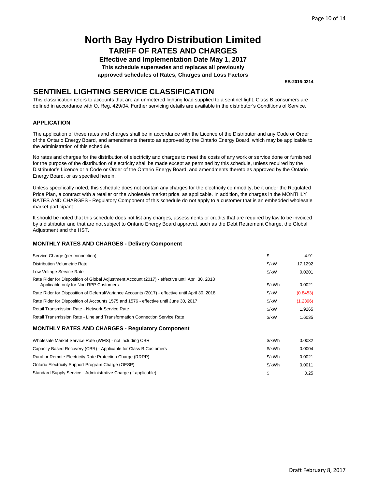**Effective and Implementation Date May 1, 2017**

**This schedule supersedes and replaces all previously**

**approved schedules of Rates, Charges and Loss Factors**

**EB-2016-0214**

### **SENTINEL LIGHTING SERVICE CLASSIFICATION**

This classification refers to accounts that are an unmetered lighting load supplied to a sentinel light. Class B consumers are defined in accordance with O. Reg. 429/04. Further servicing details are available in the distributor's Conditions of Service.

### **APPLICATION**

The application of these rates and charges shall be in accordance with the Licence of the Distributor and any Code or Order of the Ontario Energy Board, and amendments thereto as approved by the Ontario Energy Board, which may be applicable to the administration of this schedule.

No rates and charges for the distribution of electricity and charges to meet the costs of any work or service done or furnished for the purpose of the distribution of electricity shall be made except as permitted by this schedule, unless required by the Distributor's Licence or a Code or Order of the Ontario Energy Board, and amendments thereto as approved by the Ontario Energy Board, or as specified herein.

Unless specifically noted, this schedule does not contain any charges for the electricity commodity, be it under the Regulated Price Plan, a contract with a retailer or the wholesale market price, as applicable. In addition, the charges in the MONTHLY RATES AND CHARGES - Regulatory Component of this schedule do not apply to a customer that is an embedded wholesale market participant.

It should be noted that this schedule does not list any charges, assessments or credits that are required by law to be invoiced by a distributor and that are not subject to Ontario Energy Board approval, such as the Debt Retirement Charge, the Global Adjustment and the HST.

| Service Charge (per connection)                                                                                                          | \$     | 4.91     |
|------------------------------------------------------------------------------------------------------------------------------------------|--------|----------|
| <b>Distribution Volumetric Rate</b>                                                                                                      | \$/kW  | 17.1292  |
| Low Voltage Service Rate                                                                                                                 | \$/kW  | 0.0201   |
| Rate Rider for Disposition of Global Adjustment Account (2017) - effective until April 30, 2018<br>Applicable only for Non-RPP Customers | \$/kWh | 0.0021   |
| Rate Rider for Disposition of Deferral/Variance Accounts (2017) - effective until April 30, 2018                                         | \$/kW  | (0.8453) |
| Rate Rider for Disposition of Accounts 1575 and 1576 - effective until June 30, 2017                                                     | \$/kW  | (1.2396) |
| Retail Transmission Rate - Network Service Rate                                                                                          | \$/kW  | 1.9265   |
| Retail Transmission Rate - Line and Transformation Connection Service Rate                                                               | \$/kW  | 1.6035   |
| <b>MONTHLY RATES AND CHARGES - Regulatory Component</b>                                                                                  |        |          |
| Wholesale Market Service Rate (WMS) - not including CBR                                                                                  | \$/kWh | 0.0032   |
| Capacity Based Recovery (CBR) - Applicable for Class B Customers                                                                         | \$/kWh | 0.0004   |
| Rural or Remote Electricity Rate Protection Charge (RRRP)                                                                                | \$/kWh | 0.0021   |
| Ontario Electricity Support Program Charge (OESP)                                                                                        | \$/kWh | 0.0011   |
| Standard Supply Service - Administrative Charge (if applicable)                                                                          | \$     | 0.25     |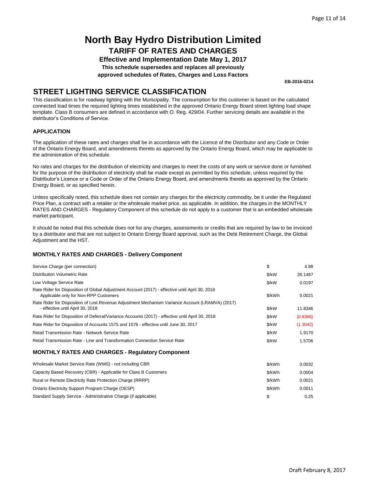**Effective and Implementation Date May 1, 2017 This schedule supersedes and replaces all previously approved schedules of Rates, Charges and Loss Factors**

**EB-2016-0214**

### **STREET LIGHTING SERVICE CLASSIFICATION**

This classification is for roadway lighting with the Municipality. The consumption for this customer is based on the calculated connected load times the required lighting times established in the approved Ontario Energy Board street lighting load shape template. Class B consumers are defined in accordance with O. Reg. 429/04. Further servicing details are available in the distributor's Conditions of Service.

### **APPLICATION**

The application of these rates and charges shall be in accordance with the Licence of the Distributor and any Code or Order of the Ontario Energy Board, and amendments thereto as approved by the Ontario Energy Board, which may be applicable to the administration of this schedule.

No rates and charges for the distribution of electricity and charges to meet the costs of any work or service done or furnished for the purpose of the distribution of electricity shall be made except as permitted by this schedule, unless required by the Distributor's Licence or a Code or Order of the Ontario Energy Board, and amendments thereto as approved by the Ontario Energy Board, or as specified herein.

Unless specifically noted, this schedule does not contain any charges for the electricity commodity, be it under the Regulated Price Plan, a contract with a retailer or the wholesale market price, as applicable. In addition, the charges in the MONTHLY RATES AND CHARGES - Regulatory Component of this schedule do not apply to a customer that is an embedded wholesale market participant.

It should be noted that this schedule does not list any charges, assessments or credits that are required by law to be invoiced by a distributor and that are not subject to Ontario Energy Board approval, such as the Debt Retirement Charge, the Global Adjustment and the HST.

| Service Charge (per connection)                                                                                                          | \$            | 4.88     |
|------------------------------------------------------------------------------------------------------------------------------------------|---------------|----------|
| <b>Distribution Volumetric Rate</b>                                                                                                      | \$/kW         | 26.1487  |
| Low Voltage Service Rate                                                                                                                 | \$/kW         | 0.0197   |
| Rate Rider for Disposition of Global Adjustment Account (2017) - effective until April 30, 2018<br>Applicable only for Non-RPP Customers | \$/kWh        | 0.0021   |
| Rate Rider for Disposition of Lost Revenue Adjustment Mechanism Variance Account (LRAMVA) (2017)<br>- effective until April 30, 2018     | \$/kW         | 11.8346  |
| Rate Rider for Disposition of Deferral/Variance Accounts (2017) - effective until April 30, 2018                                         | \$/kW         | (0.8366) |
| Rate Rider for Disposition of Accounts 1575 and 1576 - effective until June 30, 2017                                                     | \$/kW         | (1.3042) |
| Retail Transmission Rate - Network Service Rate                                                                                          | $\frac{K}{W}$ | 1.9170   |
| Retail Transmission Rate - Line and Transformation Connection Service Rate                                                               | \$/kW         | 1.5706   |
| <b>MONTHLY RATES AND CHARGES - Regulatory Component</b>                                                                                  |               |          |
| Wholesale Market Service Rate (WMS) - not including CBR                                                                                  | \$/kWh        | 0.0032   |
| Capacity Based Recovery (CBR) - Applicable for Class B Customers                                                                         | \$/kWh        | 0.0004   |
| Rural or Remote Electricity Rate Protection Charge (RRRP)                                                                                | \$/kWh        | 0.0021   |
| Ontario Electricity Support Program Charge (OESP)                                                                                        | \$/kWh        | 0.0011   |
| Standard Supply Service - Administrative Charge (if applicable)                                                                          | \$            | 0.25     |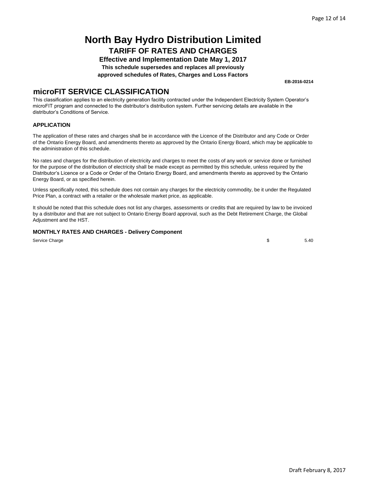**Effective and Implementation Date May 1, 2017 This schedule supersedes and replaces all previously approved schedules of Rates, Charges and Loss Factors**

### **microFIT SERVICE CLASSIFICATION**

This classification applies to an electricity generation facility contracted under the Independent Electricity System Operator's microFIT program and connected to the distributor's distribution system. Further servicing details are available in the distributor's Conditions of Service.

### **APPLICATION**

The application of these rates and charges shall be in accordance with the Licence of the Distributor and any Code or Order of the Ontario Energy Board, and amendments thereto as approved by the Ontario Energy Board, which may be applicable to the administration of this schedule.

No rates and charges for the distribution of electricity and charges to meet the costs of any work or service done or furnished for the purpose of the distribution of electricity shall be made except as permitted by this schedule, unless required by the Distributor's Licence or a Code or Order of the Ontario Energy Board, and amendments thereto as approved by the Ontario Energy Board, or as specified herein.

Unless specifically noted, this schedule does not contain any charges for the electricity commodity, be it under the Regulated Price Plan, a contract with a retailer or the wholesale market price, as applicable.

It should be noted that this schedule does not list any charges, assessments or credits that are required by law to be invoiced by a distributor and that are not subject to Ontario Energy Board approval, such as the Debt Retirement Charge, the Global Adjustment and the HST.

### **MONTHLY RATES AND CHARGES - Delivery Component**

Service Charge

 $$540$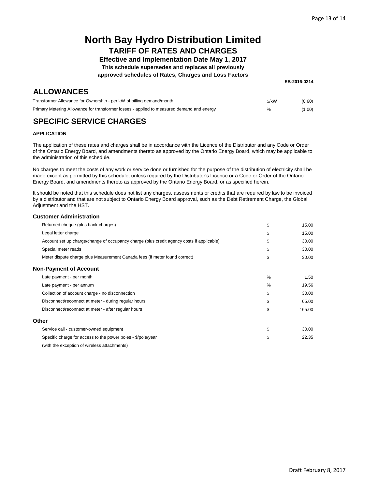### **Effective and Implementation Date May 1, 2017**

**This schedule supersedes and replaces all previously**

**approved schedules of Rates, Charges and Loss Factors**

### **ALLOWANCES**

| EB-2016-0214 |  |
|--------------|--|
|--------------|--|

| Transformer Allowance for Ownership - per kW of billing demand/month                      | \$/kW         | (0.60) |
|-------------------------------------------------------------------------------------------|---------------|--------|
| Primary Metering Allowance for transformer losses - applied to measured demand and energy | $\frac{1}{2}$ | (1.00) |

### **SPECIFIC SERVICE CHARGES**

#### **APPLICATION**

The application of these rates and charges shall be in accordance with the Licence of the Distributor and any Code or Order of the Ontario Energy Board, and amendments thereto as approved by the Ontario Energy Board, which may be applicable to the administration of this schedule.

No charges to meet the costs of any work or service done or furnished for the purpose of the distribution of electricity shall be made except as permitted by this schedule, unless required by the Distributor's Licence or a Code or Order of the Ontario Energy Board, and amendments thereto as approved by the Ontario Energy Board, or as specified herein.

It should be noted that this schedule does not list any charges, assessments or credits that are required by law to be invoiced by a distributor and that are not subject to Ontario Energy Board approval, such as the Debt Retirement Charge, the Global Adjustment and the HST.

#### **Customer Administration**

| Returned cheque (plus bank charges)                                                       | \$            | 15.00  |
|-------------------------------------------------------------------------------------------|---------------|--------|
| Legal letter charge                                                                       | \$            | 15.00  |
| Account set up charge/change of occupancy charge (plus credit agency costs if applicable) | \$            | 30.00  |
| Special meter reads                                                                       | \$            | 30.00  |
| Meter dispute charge plus Measurement Canada fees (if meter found correct)                | \$            | 30.00  |
| <b>Non-Payment of Account</b>                                                             |               |        |
| Late payment - per month                                                                  | $\frac{0}{0}$ | 1.50   |
| Late payment - per annum                                                                  | %             | 19.56  |
| Collection of account charge - no disconnection                                           | \$            | 30.00  |
| Disconnect/reconnect at meter - during regular hours                                      | \$            | 65.00  |
| Disconnect/reconnect at meter - after regular hours                                       | \$            | 165.00 |
| Other                                                                                     |               |        |
| Service call - customer-owned equipment                                                   | \$            | 30.00  |
| Specific charge for access to the power poles - \$/pole/year                              | \$            | 22.35  |
| (with the exception of wireless attachments)                                              |               |        |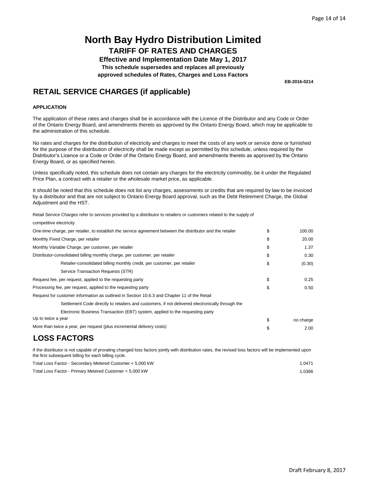**Effective and Implementation Date May 1, 2017 This schedule supersedes and replaces all previously approved schedules of Rates, Charges and Loss Factors**

**EB-2016-0214**

### **RETAIL SERVICE CHARGES (if applicable)**

#### **APPLICATION**

The application of these rates and charges shall be in accordance with the Licence of the Distributor and any Code or Order of the Ontario Energy Board, and amendments thereto as approved by the Ontario Energy Board, which may be applicable to the administration of this schedule.

No rates and charges for the distribution of electricity and charges to meet the costs of any work or service done or furnished for the purpose of the distribution of electricity shall be made except as permitted by this schedule, unless required by the Distributor's Licence or a Code or Order of the Ontario Energy Board, and amendments thereto as approved by the Ontario Energy Board, or as specified herein.

Unless specifically noted, this schedule does not contain any charges for the electricity commodity, be it under the Regulated Price Plan, a contract with a retailer or the wholesale market price, as applicable.

It should be noted that this schedule does not list any charges, assessments or credits that are required by law to be invoiced by a distributor and that are not subject to Ontario Energy Board approval, such as the Debt Retirement Charge, the Global Adjustment and the HST.

Retail Service Charges refer to services provided by a distributor to retailers or customers related to the supply of

| competitive electricity                                                                                                                                                                                       |                 |
|---------------------------------------------------------------------------------------------------------------------------------------------------------------------------------------------------------------|-----------------|
| One-time charge, per retailer, to establish the service agreement between the distributor and the retailer                                                                                                    | \$<br>100.00    |
| Monthly Fixed Charge, per retailer                                                                                                                                                                            | \$<br>20.00     |
| Monthly Variable Charge, per customer, per retailer                                                                                                                                                           | \$<br>1.37      |
| Distributor-consolidated billing monthly charge, per customer, per retailer                                                                                                                                   | \$<br>0.30      |
| Retailer-consolidated billing monthly credit, per customer, per retailer                                                                                                                                      | \$<br>(0.30)    |
| Service Transaction Requests (STR)                                                                                                                                                                            |                 |
| Request fee, per request, applied to the requesting party                                                                                                                                                     | \$<br>0.25      |
| Processing fee, per request, applied to the requesting party                                                                                                                                                  | \$<br>0.50      |
| Request for customer information as outlined in Section 10.6.3 and Chapter 11 of the Retail                                                                                                                   |                 |
| Settlement Code directly to retailers and customers, if not delivered electronically through the                                                                                                              |                 |
| Electronic Business Transaction (EBT) system, applied to the requesting party                                                                                                                                 |                 |
| Up to twice a year                                                                                                                                                                                            | \$<br>no charge |
| More than twice a year, per request (plus incremental delivery costs)                                                                                                                                         | \$<br>2.00      |
| <b>LOSS FACTORS</b>                                                                                                                                                                                           |                 |
| If the distributor is not capable of prorating changed loss factors jointly with distribution rates, the revised loss factors will be implemented upon<br>the first subsequent billing for each billing cycle |                 |

| the mot capeculating forming to back billing cyclet       |       |
|-----------------------------------------------------------|-------|
| Total Loss Factor - Secondary Metered Customer < 5,000 kW | .0471 |
| Total Loss Factor - Primary Metered Customer < 5,000 kW   | .0366 |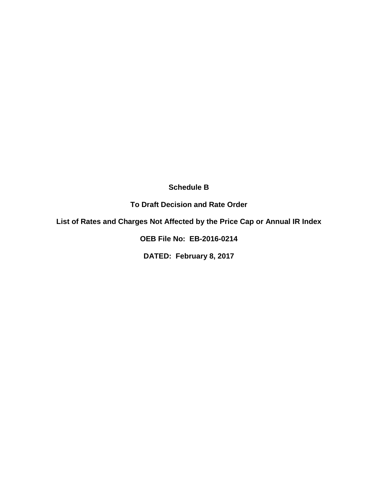**Schedule B**

**To Draft Decision and Rate Order**

**List of Rates and Charges Not Affected by the Price Cap or Annual IR Index**

**OEB File No: EB-2016-0214**

**DATED: February 8, 2017**